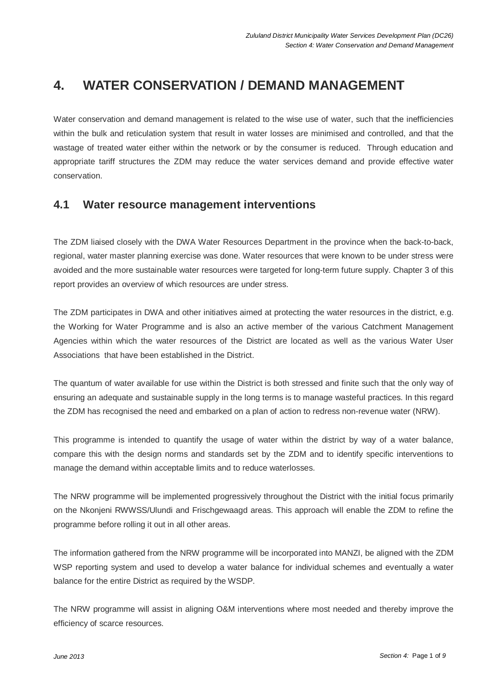# **4. WATER CONSERVATION / DEMAND MANAGEMENT**

Water conservation and demand management is related to the wise use of water, such that the inefficiencies within the bulk and reticulation system that result in water losses are minimised and controlled, and that the wastage of treated water either within the network or by the consumer is reduced. Through education and appropriate tariff structures the ZDM may reduce the water services demand and provide effective water conservation.

### **4.1 Water resource management interventions**

The ZDM liaised closely with the DWA Water Resources Department in the province when the back-to-back, regional, water master planning exercise was done. Water resources that were known to be under stress were avoided and the more sustainable water resources were targeted for long-term future supply. Chapter 3 of this report provides an overview of which resources are under stress.

The ZDM participates in DWA and other initiatives aimed at protecting the water resources in the district, e.g. the Working for Water Programme and is also an active member of the various Catchment Management Agencies within which the water resources of the District are located as well as the various Water User Associations that have been established in the District.

The quantum of water available for use within the District is both stressed and finite such that the only way of ensuring an adequate and sustainable supply in the long terms is to manage wasteful practices. In this regard the ZDM has recognised the need and embarked on a plan of action to redress non-revenue water (NRW).

This programme is intended to quantify the usage of water within the district by way of a water balance, compare this with the design norms and standards set by the ZDM and to identify specific interventions to manage the demand within acceptable limits and to reduce waterlosses.

The NRW programme will be implemented progressively throughout the District with the initial focus primarily on the Nkonjeni RWWSS/Ulundi and Frischgewaagd areas. This approach will enable the ZDM to refine the programme before rolling it out in all other areas.

The information gathered from the NRW programme will be incorporated into MANZI, be aligned with the ZDM WSP reporting system and used to develop a water balance for individual schemes and eventually a water balance for the entire District as required by the WSDP.

The NRW programme will assist in aligning O&M interventions where most needed and thereby improve the efficiency of scarce resources.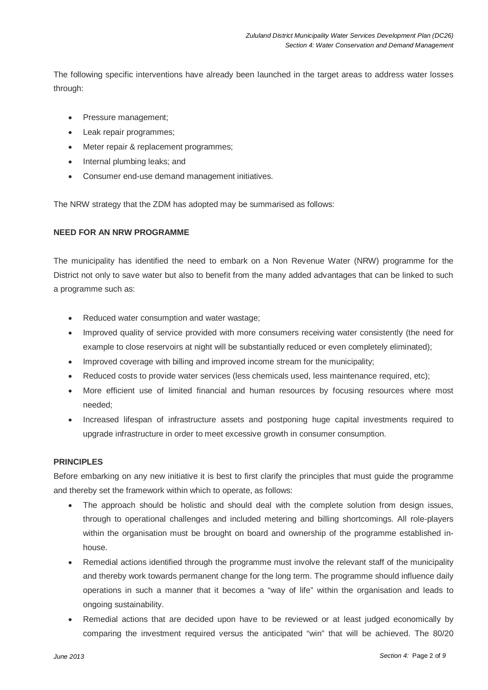The following specific interventions have already been launched in the target areas to address water losses through:

- Pressure management;
- Leak repair programmes;
- Meter repair & replacement programmes;
- Internal plumbing leaks; and
- Consumer end-use demand management initiatives.

The NRW strategy that the ZDM has adopted may be summarised as follows:

#### **NEED FOR AN NRW PROGRAMME**

The municipality has identified the need to embark on a Non Revenue Water (NRW) programme for the District not only to save water but also to benefit from the many added advantages that can be linked to such a programme such as:

- Reduced water consumption and water wastage;
- Improved quality of service provided with more consumers receiving water consistently (the need for example to close reservoirs at night will be substantially reduced or even completely eliminated);
- Improved coverage with billing and improved income stream for the municipality;
- Reduced costs to provide water services (less chemicals used, less maintenance required, etc);
- More efficient use of limited financial and human resources by focusing resources where most needed;
- Increased lifespan of infrastructure assets and postponing huge capital investments required to upgrade infrastructure in order to meet excessive growth in consumer consumption.

#### **PRINCIPLES**

Before embarking on any new initiative it is best to first clarify the principles that must guide the programme and thereby set the framework within which to operate, as follows:

- The approach should be holistic and should deal with the complete solution from design issues, through to operational challenges and included metering and billing shortcomings. All role-players within the organisation must be brought on board and ownership of the programme established inhouse.
- Remedial actions identified through the programme must involve the relevant staff of the municipality and thereby work towards permanent change for the long term. The programme should influence daily operations in such a manner that it becomes a "way of life" within the organisation and leads to ongoing sustainability.
- Remedial actions that are decided upon have to be reviewed or at least judged economically by comparing the investment required versus the anticipated "win" that will be achieved. The 80/20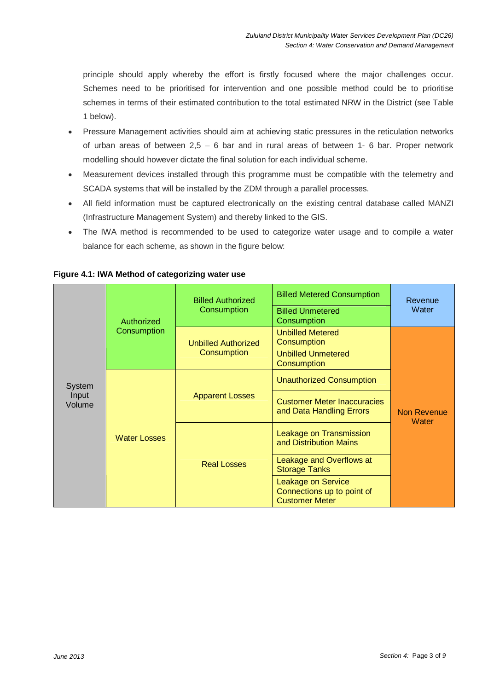principle should apply whereby the effort is firstly focused where the major challenges occur. Schemes need to be prioritised for intervention and one possible method could be to prioritise schemes in terms of their estimated contribution to the total estimated NRW in the District (see Table 1 below).

- Pressure Management activities should aim at achieving static pressures in the reticulation networks of urban areas of between 2,5 – 6 bar and in rural areas of between 1- 6 bar. Proper network modelling should however dictate the final solution for each individual scheme.
- Measurement devices installed through this programme must be compatible with the telemetry and SCADA systems that will be installed by the ZDM through a parallel processes.
- All field information must be captured electronically on the existing central database called MANZI (Infrastructure Management System) and thereby linked to the GIS.
- The IWA method is recommended to be used to categorize water usage and to compile a water balance for each scheme, as shown in the figure below:

| <b>System</b><br>Input<br>Volume | Authorized<br>Consumption | <b>Billed Authorized</b><br>Consumption   | <b>Billed Metered Consumption</b><br><b>Billed Unmetered</b><br>Consumption | Revenue<br>Water            |
|----------------------------------|---------------------------|-------------------------------------------|-----------------------------------------------------------------------------|-----------------------------|
|                                  |                           | <b>Unbilled Authorized</b><br>Consumption | <b>Unbilled Metered</b><br>Consumption                                      | <b>Non Revenue</b><br>Water |
|                                  |                           |                                           | <b>Unbilled Unmetered</b><br>Consumption                                    |                             |
|                                  | <b>Water Losses</b>       | <b>Apparent Losses</b>                    | <b>Unauthorized Consumption</b>                                             |                             |
|                                  |                           |                                           | <b>Customer Meter Inaccuracies</b><br>and Data Handling Errors              |                             |
|                                  |                           | <b>Real Losses</b>                        | Leakage on Transmission<br>and Distribution Mains                           |                             |
|                                  |                           |                                           | Leakage and Overflows at<br><b>Storage Tanks</b>                            |                             |
|                                  |                           |                                           | Leakage on Service<br>Connections up to point of<br><b>Customer Meter</b>   |                             |

#### **Figure 4.1: IWA Method of categorizing water use**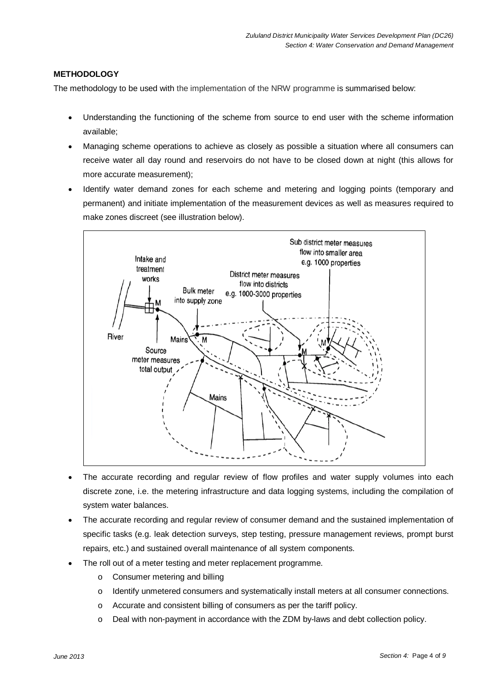#### **METHODOLOGY**

The methodology to be used with the implementation of the NRW programme is summarised below:

- Understanding the functioning of the scheme from source to end user with the scheme information available;
- Managing scheme operations to achieve as closely as possible a situation where all consumers can receive water all day round and reservoirs do not have to be closed down at night (this allows for more accurate measurement);
- Identify water demand zones for each scheme and metering and logging points (temporary and permanent) and initiate implementation of the measurement devices as well as measures required to make zones discreet (see illustration below).



- The accurate recording and regular review of flow profiles and water supply volumes into each discrete zone, i.e. the metering infrastructure and data logging systems, including the compilation of system water balances.
- The accurate recording and regular review of consumer demand and the sustained implementation of specific tasks (e.g. leak detection surveys, step testing, pressure management reviews, prompt burst repairs, etc.) and sustained overall maintenance of all system components.
- The roll out of a meter testing and meter replacement programme.
	- o Consumer metering and billing
	- o Identify unmetered consumers and systematically install meters at all consumer connections.
	- o Accurate and consistent billing of consumers as per the tariff policy.
	- o Deal with non-payment in accordance with the ZDM by-laws and debt collection policy.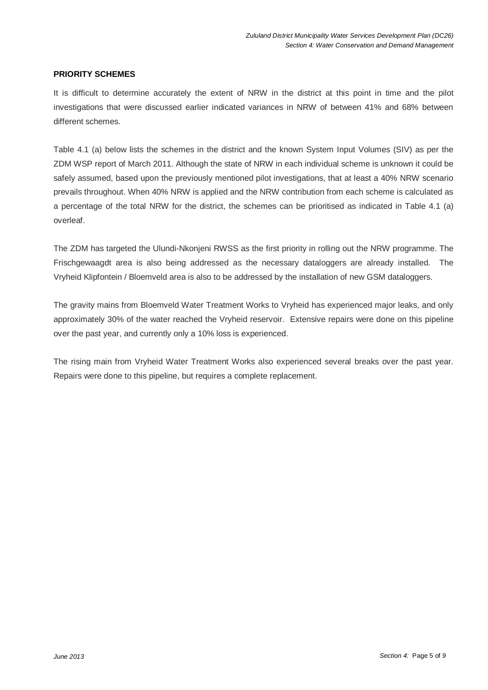#### **PRIORITY SCHEMES**

It is difficult to determine accurately the extent of NRW in the district at this point in time and the pilot investigations that were discussed earlier indicated variances in NRW of between 41% and 68% between different schemes.

Table 4.1 (a) below lists the schemes in the district and the known System Input Volumes (SIV) as per the ZDM WSP report of March 2011. Although the state of NRW in each individual scheme is unknown it could be safely assumed, based upon the previously mentioned pilot investigations, that at least a 40% NRW scenario prevails throughout. When 40% NRW is applied and the NRW contribution from each scheme is calculated as a percentage of the total NRW for the district, the schemes can be prioritised as indicated in Table 4.1 (a) overleaf.

The ZDM has targeted the Ulundi-Nkonjeni RWSS as the first priority in rolling out the NRW programme. The Frischgewaagdt area is also being addressed as the necessary dataloggers are already installed. The Vryheid Klipfontein / Bloemveld area is also to be addressed by the installation of new GSM dataloggers.

The gravity mains from Bloemveld Water Treatment Works to Vryheid has experienced major leaks, and only approximately 30% of the water reached the Vryheid reservoir. Extensive repairs were done on this pipeline over the past year, and currently only a 10% loss is experienced.

The rising main from Vryheid Water Treatment Works also experienced several breaks over the past year. Repairs were done to this pipeline, but requires a complete replacement.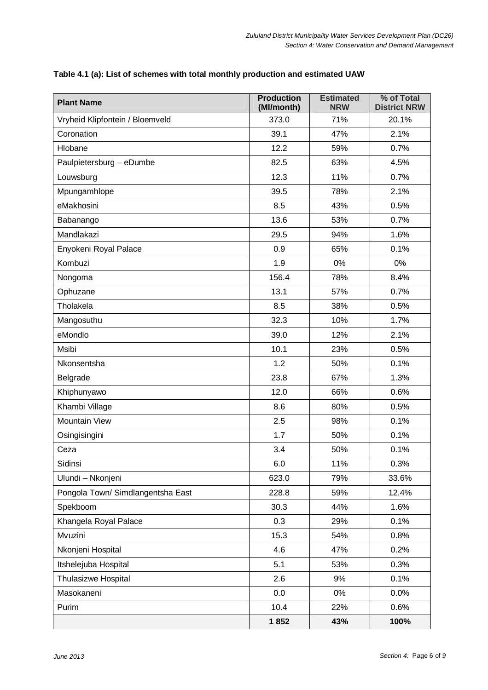| <b>Plant Name</b>                 | <b>Production</b><br>(Ml/month) | <b>Estimated</b><br><b>NRW</b> | % of Total<br><b>District NRW</b> |
|-----------------------------------|---------------------------------|--------------------------------|-----------------------------------|
| Vryheid Klipfontein / Bloemveld   | 373.0                           | 71%                            | 20.1%                             |
| Coronation                        | 39.1                            | 47%                            | 2.1%                              |
| Hlobane                           | 12.2                            | 59%                            | 0.7%                              |
| Paulpietersburg - eDumbe          | 82.5                            | 63%                            | 4.5%                              |
| Louwsburg                         | 12.3                            | 11%                            | 0.7%                              |
| Mpungamhlope                      | 39.5                            | 78%                            | 2.1%                              |
| eMakhosini                        | 8.5                             | 43%                            | 0.5%                              |
| Babanango                         | 13.6                            | 53%                            | 0.7%                              |
| Mandlakazi                        | 29.5                            | 94%                            | 1.6%                              |
| Enyokeni Royal Palace             | 0.9                             | 65%                            | 0.1%                              |
| Kombuzi                           | 1.9                             | $0\%$                          | 0%                                |
| Nongoma                           | 156.4                           | 78%                            | 8.4%                              |
| Ophuzane                          | 13.1                            | 57%                            | 0.7%                              |
| Tholakela                         | 8.5                             | 38%                            | 0.5%                              |
| Mangosuthu                        | 32.3                            | 10%                            | 1.7%                              |
| eMondlo                           | 39.0                            | 12%                            | 2.1%                              |
| Msibi                             | 10.1                            | 23%                            | 0.5%                              |
| Nkonsentsha                       | 1.2                             | 50%                            | 0.1%                              |
| Belgrade                          | 23.8                            | 67%                            | 1.3%                              |
| Khiphunyawo                       | 12.0                            | 66%                            | 0.6%                              |
| Khambi Village                    | 8.6                             | 80%                            | 0.5%                              |
| Mountain View                     | 2.5                             | 98%                            | 0.1%                              |
| Osingisingini                     | 1.7                             | 50%                            | 0.1%                              |
| Ceza                              | 3.4                             | 50%                            | 0.1%                              |
| Sidinsi                           | 6.0                             | 11%                            | 0.3%                              |
| Ulundi - Nkonjeni                 | 623.0                           | 79%                            | 33.6%                             |
| Pongola Town/ Simdlangentsha East | 228.8                           | 59%                            | 12.4%                             |
| Spekboom                          | 30.3                            | 44%                            | 1.6%                              |
| Khangela Royal Palace             | 0.3                             | 29%                            | 0.1%                              |
| Mvuzini                           | 15.3                            | 54%                            | 0.8%                              |
| Nkonjeni Hospital                 | 4.6                             | 47%                            | 0.2%                              |
| Itshelejuba Hospital              | 5.1                             | 53%                            | 0.3%                              |
| Thulasizwe Hospital               | 2.6                             | 9%                             | 0.1%                              |
| Masokaneni                        | 0.0                             | 0%                             | 0.0%                              |
| Purim                             | 10.4                            | 22%                            | 0.6%                              |
|                                   | 1852                            | 43%                            | 100%                              |

#### **Table 4.1 (a): List of schemes with total monthly production and estimated UAW**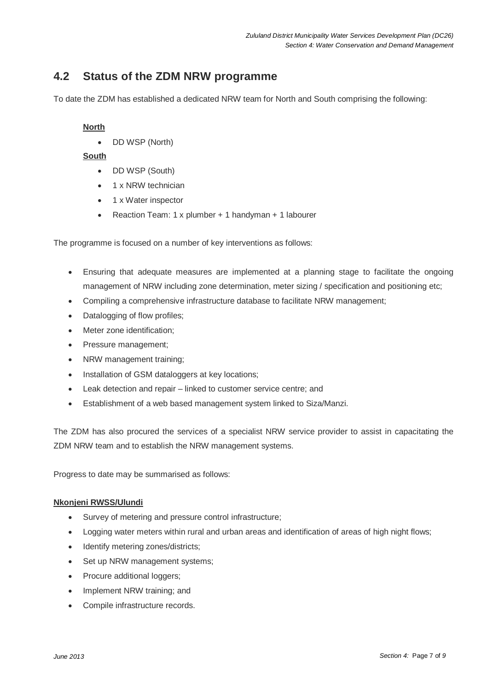# **4.2 Status of the ZDM NRW programme**

To date the ZDM has established a dedicated NRW team for North and South comprising the following:

#### **North**

• DD WSP (North)

#### **South**

- DD WSP (South)
- 1 x NRW technician
- 1 x Water inspector
- Reaction Team: 1 x plumber + 1 handyman + 1 labourer

The programme is focused on a number of key interventions as follows:

- Ensuring that adequate measures are implemented at a planning stage to facilitate the ongoing management of NRW including zone determination, meter sizing / specification and positioning etc;
- Compiling a comprehensive infrastructure database to facilitate NRW management;
- Datalogging of flow profiles;
- Meter zone identification;
- Pressure management;
- NRW management training;
- Installation of GSM dataloggers at key locations;
- Leak detection and repair linked to customer service centre; and
- Establishment of a web based management system linked to Siza/Manzi.

The ZDM has also procured the services of a specialist NRW service provider to assist in capacitating the ZDM NRW team and to establish the NRW management systems.

Progress to date may be summarised as follows:

#### **Nkonjeni RWSS/Ulundi**

- Survey of metering and pressure control infrastructure;
- Logging water meters within rural and urban areas and identification of areas of high night flows;
- Identify metering zones/districts:
- Set up NRW management systems:
- Procure additional loggers;
- Implement NRW training; and
- Compile infrastructure records.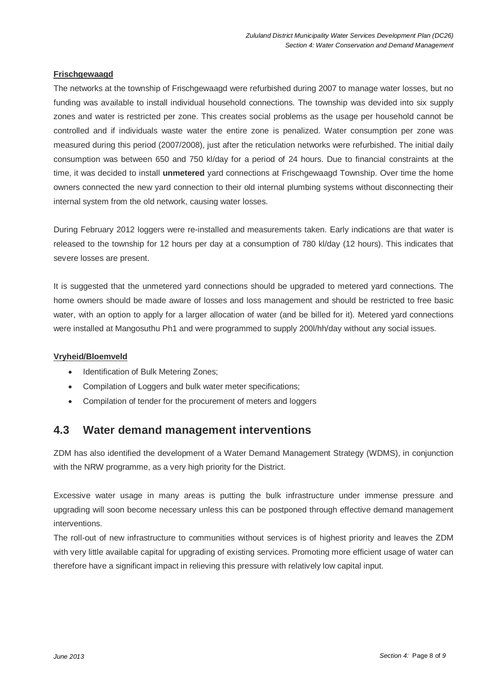#### **Frischgewaagd**

The networks at the township of Frischgewaagd were refurbished during 2007 to manage water losses, but no funding was available to install individual household connections. The township was devided into six supply zones and water is restricted per zone. This creates social problems as the usage per household cannot be controlled and if individuals waste water the entire zone is penalized. Water consumption per zone was measured during this period (2007/2008), just after the reticulation networks were refurbished. The initial daily consumption was between 650 and 750 kl/day for a period of 24 hours. Due to financial constraints at the time, it was decided to install **unmetered** yard connections at Frischgewaagd Township. Over time the home owners connected the new yard connection to their old internal plumbing systems without disconnecting their internal system from the old network, causing water losses.

During February 2012 loggers were re-installed and measurements taken. Early indications are that water is released to the township for 12 hours per day at a consumption of 780 kl/day (12 hours). This indicates that severe losses are present.

It is suggested that the unmetered yard connections should be upgraded to metered yard connections. The home owners should be made aware of losses and loss management and should be restricted to free basic water, with an option to apply for a larger allocation of water (and be billed for it). Metered yard connections were installed at Mangosuthu Ph1 and were programmed to supply 200l/hh/day without any social issues.

#### **Vryheid/Bloemveld**

- Identification of Bulk Metering Zones;
- Compilation of Loggers and bulk water meter specifications;
- Compilation of tender for the procurement of meters and loggers

## **4.3 Water demand management interventions**

ZDM has also identified the development of a Water Demand Management Strategy (WDMS), in conjunction with the NRW programme, as a very high priority for the District.

Excessive water usage in many areas is putting the bulk infrastructure under immense pressure and upgrading will soon become necessary unless this can be postponed through effective demand management interventions.

The roll-out of new infrastructure to communities without services is of highest priority and leaves the ZDM with very little available capital for upgrading of existing services. Promoting more efficient usage of water can therefore have a significant impact in relieving this pressure with relatively low capital input.